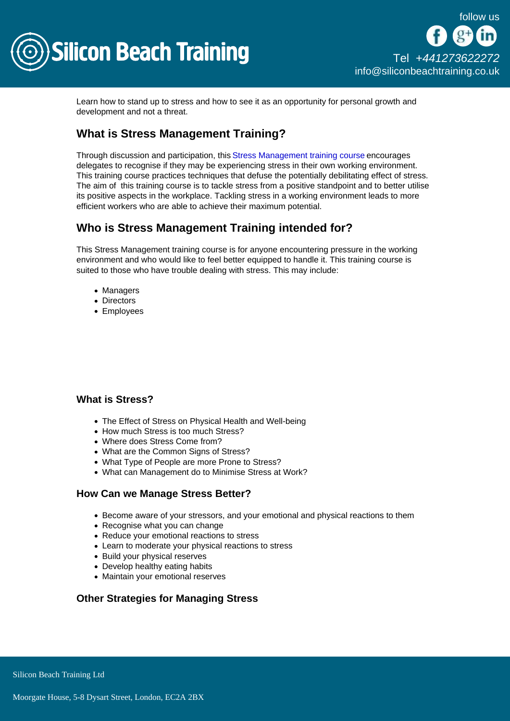

Learn how to stand up to stress and how to see it as an opportunity for personal growth and development and not a threat.

## What is Stress Management Training?

Through discussion and participation, this [Stress Management training course](/business-skills-training) encourages delegates to recognise if they may be experiencing stress in their own working environment. This training course practices techniques that defuse the potentially debilitating effect of stress. The aim of this training course is to tackle stress from a positive standpoint and to better utilise its positive aspects in the workplace. Tackling stress in a working environment leads to more efficient workers who are able to achieve their maximum potential.

# Who is Stress Management Training intended for?

This Stress Management training course is for anyone encountering pressure in the working environment and who would like to feel better equipped to handle it. This training course is suited to those who have trouble dealing with stress. This may include:

- Managers
- Directors
- Employees

## What is Stress?

- The Effect of Stress on Physical Health and Well-being
- How much Stress is too much Stress?
- Where does Stress Come from?
- What are the Common Signs of Stress?
- What Type of People are more Prone to Stress?
- What can Management do to Minimise Stress at Work?

### How Can we Manage Stress Better?

- Become aware of your stressors, and your emotional and physical reactions to them
- Recognise what you can change
- Reduce your emotional reactions to stress
- Learn to moderate your physical reactions to stress
- Build your physical reserves
- Develop healthy eating habits
- Maintain your emotional reserves

### Other Strategies for Managing Stress

Silicon Beach Training Ltd